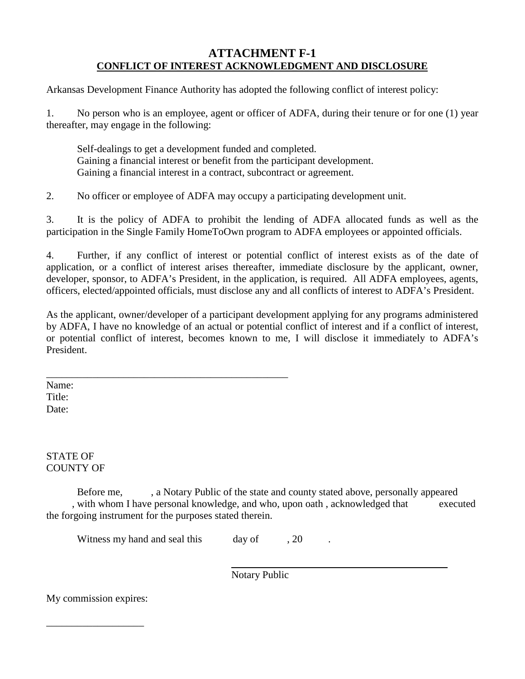### **ATTACHMENT F-1 CONFLICT OF INTEREST ACKNOWLEDGMENT AND DISCLOSURE**

Arkansas Development Finance Authority has adopted the following conflict of interest policy:

1. No person who is an employee, agent or officer of ADFA, during their tenure or for one (1) year thereafter, may engage in the following:

Self-dealings to get a development funded and completed. Gaining a financial interest or benefit from the participant development. Gaining a financial interest in a contract, subcontract or agreement.

2. No officer or employee of ADFA may occupy a participating development unit.

3. It is the policy of ADFA to prohibit the lending of ADFA allocated funds as well as the participation in the Single Family HomeToOwn program to ADFA employees or appointed officials.

4. Further, if any conflict of interest or potential conflict of interest exists as of the date of application, or a conflict of interest arises thereafter, immediate disclosure by the applicant, owner, developer, sponsor, to ADFA's President, in the application, is required. All ADFA employees, agents, officers, elected/appointed officials, must disclose any and all conflicts of interest to ADFA's President.

As the applicant, owner/developer of a participant development applying for any programs administered by ADFA, I have no knowledge of an actual or potential conflict of interest and if a conflict of interest, or potential conflict of interest, becomes known to me, I will disclose it immediately to ADFA's President.

\_\_\_\_\_\_\_\_\_\_\_\_\_\_\_\_\_\_\_\_\_\_\_\_\_\_\_\_\_\_\_\_\_\_\_\_\_\_\_\_\_\_\_\_\_\_\_ Name: Title: Date:

STATE OF COUNTY OF

Before me, , a Notary Public of the state and county stated above, personally appeared , with whom I have personal knowledge, and who, upon oath , acknowledged that executed the forgoing instrument for the purposes stated therein.

Witness my hand and seal this day of , 20

Notary Public

My commission expires:

\_\_\_\_\_\_\_\_\_\_\_\_\_\_\_\_\_\_\_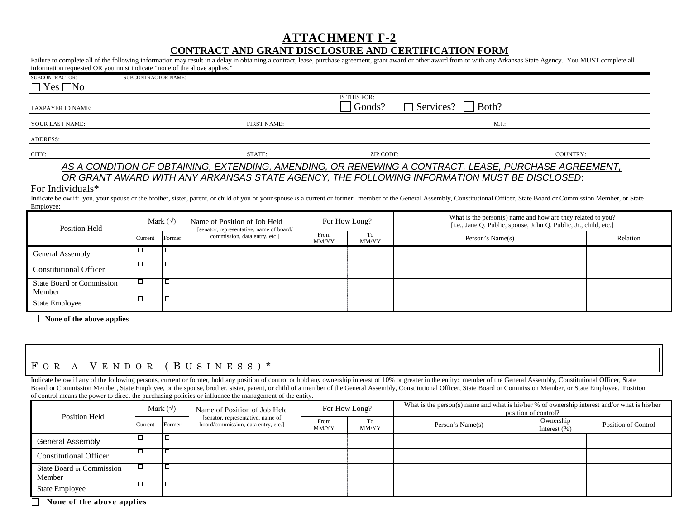#### **ATTACHMENT F-2**

#### **CONTRACT AND GRANT DISCLOSURE AND CERTIFICATION FORM**

| information requested OR you must indicate "none of the above applies." |                     |                    |                                                                          |               |                        | Failure to complete all of the following information may result in a delay in obtaining a contract, lease, purchase agreement, grant award or other award from or with any Arkansas State Agency. You MUST complete all                                                                                                                                                                                                              |          |          |
|-------------------------------------------------------------------------|---------------------|--------------------|--------------------------------------------------------------------------|---------------|------------------------|--------------------------------------------------------------------------------------------------------------------------------------------------------------------------------------------------------------------------------------------------------------------------------------------------------------------------------------------------------------------------------------------------------------------------------------|----------|----------|
| SUBCONTRACTOR:<br>$\Box$ Yes $\Box$ No                                  | SUBCONTRACTOR NAME: |                    |                                                                          |               |                        |                                                                                                                                                                                                                                                                                                                                                                                                                                      |          |          |
| <b>TAXPAYER ID NAME:</b>                                                |                     |                    |                                                                          |               | IS THIS FOR:<br>Goods? | $\Box$ Services?<br>Both?                                                                                                                                                                                                                                                                                                                                                                                                            |          |          |
| YOUR LAST NAME::                                                        |                     | <b>FIRST NAME:</b> |                                                                          |               | M.I.:                  |                                                                                                                                                                                                                                                                                                                                                                                                                                      |          |          |
| <b>ADDRESS:</b>                                                         |                     |                    |                                                                          |               |                        |                                                                                                                                                                                                                                                                                                                                                                                                                                      |          |          |
| CITY:                                                                   | STATE:              |                    |                                                                          | ZIP CODE:     |                        |                                                                                                                                                                                                                                                                                                                                                                                                                                      | COUNTRY: |          |
| For Individuals*<br>Employee:                                           |                     |                    |                                                                          |               |                        | AS A CONDITION OF OBTAINING, EXTENDING, AMENDING, OR RENEWING A CONTRACT, LEASE, PURCHASE AGREEMENT,<br>OR GRANT AWARD WITH ANY ARKANSAS STATE AGENCY, THE FOLLOWING INFORMATION MUST BE DISCLOSED:<br>Indicate below if: you, your spouse or the brother, sister, parent, or child of you or your spouse is a current or former: member of the General Assembly, Constitutional Officer, State Board or Commission Member, or State |          |          |
| <b>Position Held</b>                                                    | Mark $(\forall)$    |                    | Name of Position of Job Held<br>[senator, representative, name of board/ | For How Long? |                        | What is the person(s) name and how are they related to you?<br>[i.e., Jane O. Public, spouse, John O. Public, Jr., child, etc.]                                                                                                                                                                                                                                                                                                      |          |          |
|                                                                         | Current             | Former             | commission, data entry, etc.]                                            | From<br>MM/YY | To<br>MM/YY            | Person's Name(s)                                                                                                                                                                                                                                                                                                                                                                                                                     |          | Relation |
| General Assembly                                                        | □                   | Ξ                  |                                                                          |               |                        |                                                                                                                                                                                                                                                                                                                                                                                                                                      |          |          |
| <b>Constitutional Officer</b>                                           | □                   | $\Box$             |                                                                          |               |                        |                                                                                                                                                                                                                                                                                                                                                                                                                                      |          |          |
| <b>State Board or Commission</b><br>Member                              | □                   | □                  |                                                                          |               |                        |                                                                                                                                                                                                                                                                                                                                                                                                                                      |          |          |
| <b>State Employee</b>                                                   | П                   | □                  |                                                                          |               |                        |                                                                                                                                                                                                                                                                                                                                                                                                                                      |          |          |
| $\perp$<br>None of the above applies                                    |                     |                    |                                                                          |               |                        |                                                                                                                                                                                                                                                                                                                                                                                                                                      |          |          |

# F OR A V ENDOR ( B USINESS ) \*

Indicate below if any of the following persons, current or former, hold any position of control or hold any ownership interest of 10% or greater in the entity: member of the General Assembly, Constitutional Officer, State Board or Commission Member, State Employee, or the spouse, brother, sister, parent, or child of a member of the General Assembly, Constitutional Officer, State Board or Commission Member, or State Employee. Position of control means the power to direct the purchasing policies or influence the management of the entity.

| <b>Position Held</b>                       | Mark $(\sqrt{})$ |        | Name of Position of Job Held                                             | For How Long? |             | What is the person(s) name and what is his/her $%$ of ownership interest and/or what is his/her<br>position of control? |                              |                     |
|--------------------------------------------|------------------|--------|--------------------------------------------------------------------------|---------------|-------------|-------------------------------------------------------------------------------------------------------------------------|------------------------------|---------------------|
|                                            | Current          | Former | [senator, representative, name of<br>board/commission, data entry, etc.] | From<br>MM/YY | To<br>MM/YY | Person's Name(s)                                                                                                        | Ownership<br>Interest $(\%)$ | Position of Control |
| General Assembly                           |                  |        |                                                                          |               |             |                                                                                                                         |                              |                     |
| <b>Constitutional Officer</b>              |                  |        |                                                                          |               |             |                                                                                                                         |                              |                     |
| <b>State Board or Commission</b><br>Member |                  |        |                                                                          |               |             |                                                                                                                         |                              |                     |
| <b>State Employee</b>                      |                  |        |                                                                          |               |             |                                                                                                                         |                              |                     |

 **None of the above applies**